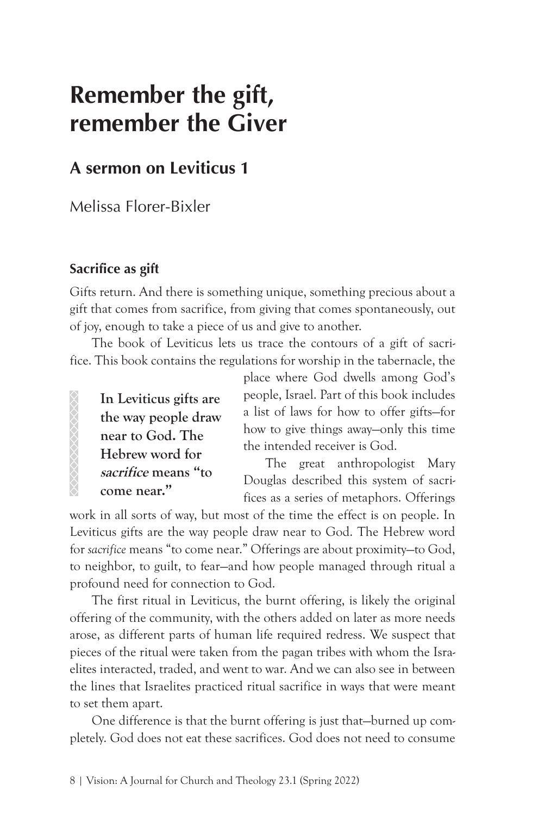# **Remember the gift, remember the Giver**

## **A sermon on Leviticus 1**

Melissa Florer-Bixler

### **Sacrifice as gift**

Gifts return. And there is something unique, something precious about a gift that comes from sacrifice, from giving that comes spontaneously, out of joy, enough to take a piece of us and give to another.

The book of Leviticus lets us trace the contours of a gift of sacrifice. This book contains the regulations for worship in the tabernacle, the

**In Leviticus gifts are the way people draw near to God. The Hebrew word for sacrifice means "to come near."**

place where God dwells among God's people, Israel. Part of this book includes a list of laws for how to offer gifts—for how to give things away—only this time the intended receiver is God.

The great anthropologist Mary Douglas described this system of sacrifices as a series of metaphors. Offerings

work in all sorts of way, but most of the time the effect is on people. In Leviticus gifts are the way people draw near to God. The Hebrew word for *sacrifice* means "to come near." Offerings are about proximity—to God, to neighbor, to guilt, to fear—and how people managed through ritual a profound need for connection to God.

The first ritual in Leviticus, the burnt offering, is likely the original offering of the community, with the others added on later as more needs arose, as different parts of human life required redress. We suspect that pieces of the ritual were taken from the pagan tribes with whom the Israelites interacted, traded, and went to war. And we can also see in between the lines that Israelites practiced ritual sacrifice in ways that were meant to set them apart.

One difference is that the burnt offering is just that—burned up completely. God does not eat these sacrifices. God does not need to consume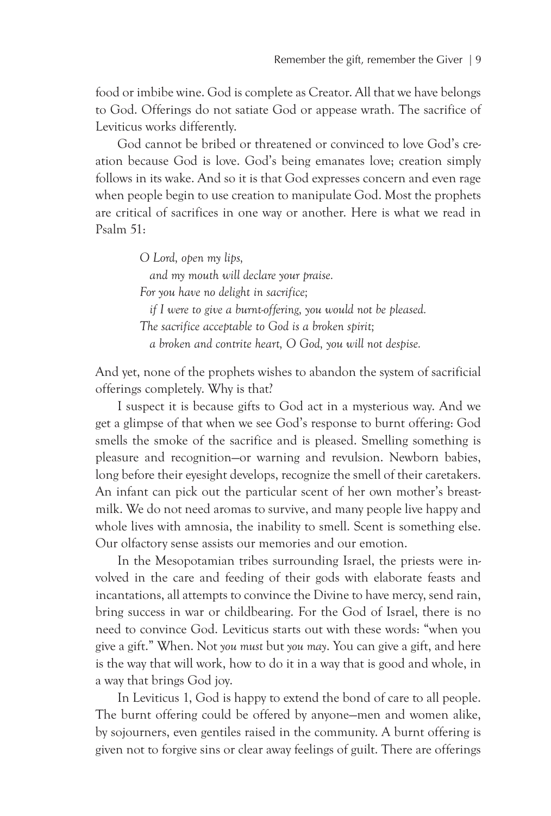food or imbibe wine. God is complete as Creator. All that we have belongs to God. Offerings do not satiate God or appease wrath. The sacrifice of Leviticus works differently.

God cannot be bribed or threatened or convinced to love God's creation because God is love. God's being emanates love; creation simply follows in its wake. And so it is that God expresses concern and even rage when people begin to use creation to manipulate God. Most the prophets are critical of sacrifices in one way or another. Here is what we read in Psalm 51:

> *O Lord, open my lips, and my mouth will declare your praise. For you have no delight in sacrifice; if I were to give a burnt-offering, you would not be pleased. The sacrifice acceptable to God is a broken spirit; a broken and contrite heart, O God, you will not despise.*

And yet, none of the prophets wishes to abandon the system of sacrificial offerings completely. Why is that?

I suspect it is because gifts to God act in a mysterious way. And we get a glimpse of that when we see God's response to burnt offering: God smells the smoke of the sacrifice and is pleased. Smelling something is pleasure and recognition—or warning and revulsion. Newborn babies, long before their eyesight develops, recognize the smell of their caretakers. An infant can pick out the particular scent of her own mother's breastmilk. We do not need aromas to survive, and many people live happy and whole lives with amnosia, the inability to smell. Scent is something else. Our olfactory sense assists our memories and our emotion.

In the Mesopotamian tribes surrounding Israel, the priests were involved in the care and feeding of their gods with elaborate feasts and incantations, all attempts to convince the Divine to have mercy, send rain, bring success in war or childbearing. For the God of Israel, there is no need to convince God. Leviticus starts out with these words: "when you give a gift." When. Not *you must* but *you may*. You can give a gift, and here is the way that will work, how to do it in a way that is good and whole, in a way that brings God joy.

In Leviticus 1, God is happy to extend the bond of care to all people. The burnt offering could be offered by anyone—men and women alike, by sojourners, even gentiles raised in the community. A burnt offering is given not to forgive sins or clear away feelings of guilt. There are offerings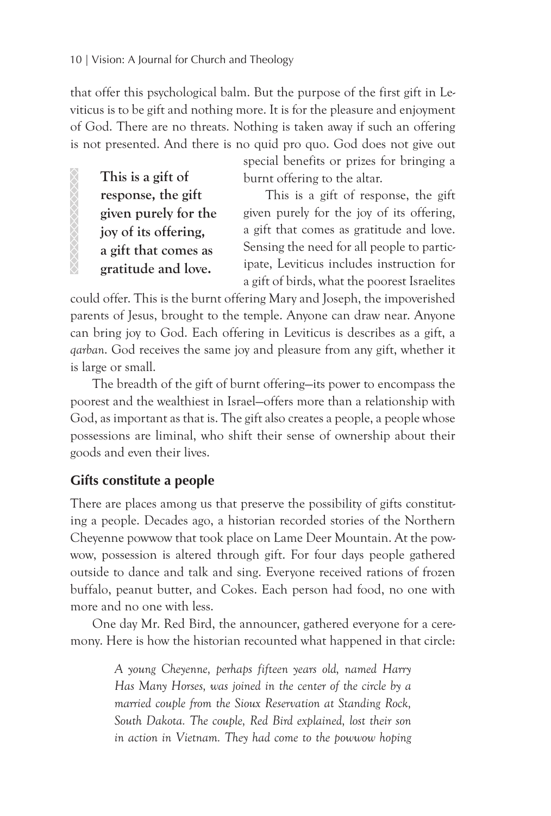**This is a gift of response, the gift given purely for the joy of its offering, a gift that comes as gratitude and love.**

XXXXXXXXXXX

that offer this psychological balm. But the purpose of the first gift in Leviticus is to be gift and nothing more. It is for the pleasure and enjoyment of God. There are no threats. Nothing is taken away if such an offering is not presented. And there is no quid pro quo. God does not give out

> special benefits or prizes for bringing a burnt offering to the altar.

> This is a gift of response, the gift given purely for the joy of its offering, a gift that comes as gratitude and love. Sensing the need for all people to participate, Leviticus includes instruction for a gift of birds, what the poorest Israelites

could offer. This is the burnt offering Mary and Joseph, the impoverished parents of Jesus, brought to the temple. Anyone can draw near. Anyone can bring joy to God. Each offering in Leviticus is describes as a gift, a *qarban*. God receives the same joy and pleasure from any gift, whether it is large or small.

The breadth of the gift of burnt offering—its power to encompass the poorest and the wealthiest in Israel—offers more than a relationship with God, as important as that is. The gift also creates a people, a people whose possessions are liminal, who shift their sense of ownership about their goods and even their lives.

#### **Gifts constitute a people**

There are places among us that preserve the possibility of gifts constituting a people. Decades ago, a historian recorded stories of the Northern Cheyenne powwow that took place on Lame Deer Mountain. At the powwow, possession is altered through gift. For four days people gathered outside to dance and talk and sing. Everyone received rations of frozen buffalo, peanut butter, and Cokes. Each person had food, no one with more and no one with less.

One day Mr. Red Bird, the announcer, gathered everyone for a ceremony. Here is how the historian recounted what happened in that circle:

> *A young Cheyenne, perhaps fifteen years old, named Harry Has Many Horses, was joined in the center of the circle by a married couple from the Sioux Reservation at Standing Rock, South Dakota. The couple, Red Bird explained, lost their son in action in Vietnam. They had come to the powwow hoping*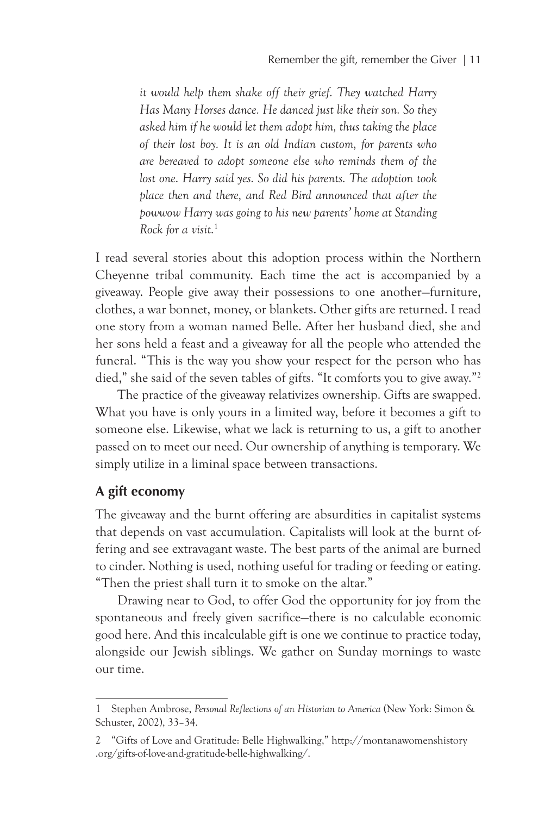*it would help them shake off their grief. They watched Harry Has Many Horses dance. He danced just like their son. So they asked him if he would let them adopt him, thus taking the place of their lost boy. It is an old Indian custom, for parents who are bereaved to adopt someone else who reminds them of the lost one. Harry said yes. So did his parents. The adoption took place then and there, and Red Bird announced that after the powwow Harry was going to his new parents' home at Standing Rock for a visit.*<sup>1</sup>

I read several stories about this adoption process within the Northern Cheyenne tribal community. Each time the act is accompanied by a giveaway. People give away their possessions to one another—furniture, clothes, a war bonnet, money, or blankets. Other gifts are returned. I read one story from a woman named Belle. After her husband died, she and her sons held a feast and a giveaway for all the people who attended the funeral. "This is the way you show your respect for the person who has died," she said of the seven tables of gifts. "It comforts you to give away."2

The practice of the giveaway relativizes ownership. Gifts are swapped. What you have is only yours in a limited way, before it becomes a gift to someone else. Likewise, what we lack is returning to us, a gift to another passed on to meet our need. Our ownership of anything is temporary. We simply utilize in a liminal space between transactions.

#### **A gift economy**

The giveaway and the burnt offering are absurdities in capitalist systems that depends on vast accumulation. Capitalists will look at the burnt offering and see extravagant waste. The best parts of the animal are burned to cinder. Nothing is used, nothing useful for trading or feeding or eating. "Then the priest shall turn it to smoke on the altar."

Drawing near to God, to offer God the opportunity for joy from the spontaneous and freely given sacrifice—there is no calculable economic good here. And this incalculable gift is one we continue to practice today, alongside our Jewish siblings. We gather on Sunday mornings to waste our time.

<sup>1</sup> Stephen Ambrose, *Personal Reflections of an Historian to America* (New York: Simon & Schuster, 2002), 33–34.

<sup>2 &</sup>quot;Gifts of Love and Gratitude: Belle Highwalking," http://montanawomenshistory .org/gifts-of-love-and-gratitude-belle-highwalking/.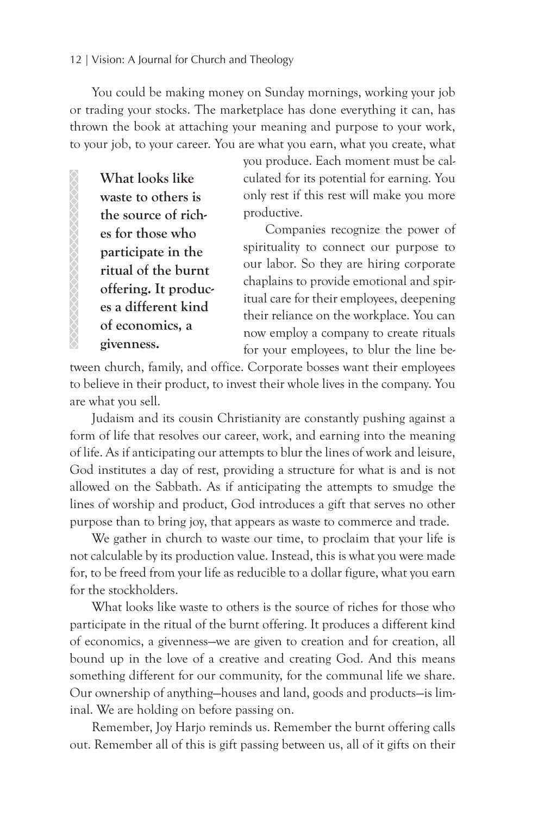#### 12 | Vision: A Journal for Church and Theology

You could be making money on Sunday mornings, working your job or trading your stocks. The marketplace has done everything it can, has thrown the book at attaching your meaning and purpose to your work, to your job, to your career. You are what you earn, what you create, what

**What looks like waste to others is the source of riches for those who participate in the ritual of the burnt offering. It produces a different kind of economics, a givenness.** 

you produce. Each moment must be calculated for its potential for earning. You only rest if this rest will make you more productive.

Companies recognize the power of spirituality to connect our purpose to our labor. So they are hiring corporate chaplains to provide emotional and spiritual care for their employees, deepening their reliance on the workplace. You can now employ a company to create rituals for your employees, to blur the line be-

tween church, family, and office. Corporate bosses want their employees to believe in their product, to invest their whole lives in the company. You are what you sell.

Judaism and its cousin Christianity are constantly pushing against a form of life that resolves our career, work, and earning into the meaning of life. As if anticipating our attempts to blur the lines of work and leisure, God institutes a day of rest, providing a structure for what is and is not allowed on the Sabbath. As if anticipating the attempts to smudge the lines of worship and product, God introduces a gift that serves no other purpose than to bring joy, that appears as waste to commerce and trade.

We gather in church to waste our time, to proclaim that your life is not calculable by its production value. Instead, this is what you were made for, to be freed from your life as reducible to a dollar figure, what you earn for the stockholders.

What looks like waste to others is the source of riches for those who participate in the ritual of the burnt offering. It produces a different kind of economics, a givenness—we are given to creation and for creation, all bound up in the love of a creative and creating God. And this means something different for our community, for the communal life we share. Our ownership of anything—houses and land, goods and products—is liminal. We are holding on before passing on.

Remember, Joy Harjo reminds us. Remember the burnt offering calls out. Remember all of this is gift passing between us, all of it gifts on their